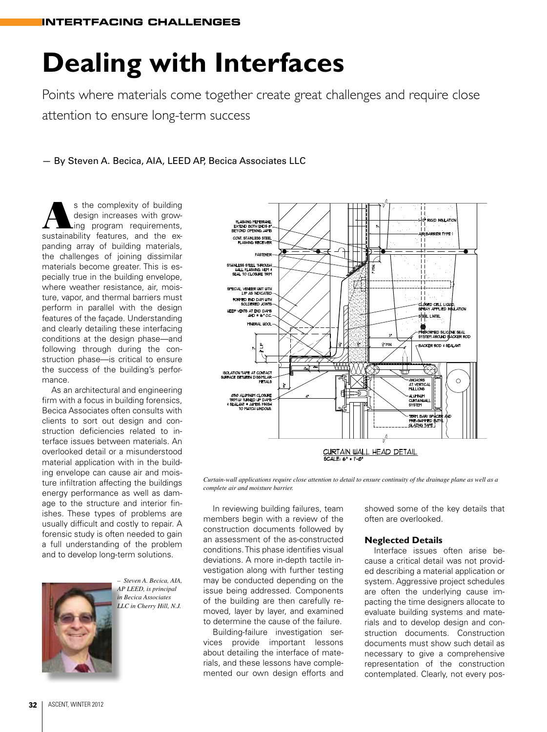# **Dealing with Interfaces**

Points where materials come together create great challenges and require close attention to ensure long-term success

— By Steven A. Becica, AIA, LEED AP, Becica Associates LLC

s the complexity of building<br>design increases with grow-<br>ing program requirements, design increases with growing program requirements, sustainability features, and the expanding array of building materials, the challenges of joining dissimilar materials become greater. This is especially true in the building envelope, where weather resistance, air, moisture, vapor, and thermal barriers must perform in parallel with the design features of the façade. Understanding and clearly detailing these interfacing conditions at the design phase—and following through during the construction phase—is critical to ensure the success of the building's performance.

As an architectural and engineering firm with a focus in building forensics. Becica Associates often consults with clients to sort out design and construction deficiencies related to interface issues between materials. An overlooked detail or a misunderstood material application with in the building envelope can cause air and moisture infiltration affecting the buildings energy performance as well as damage to the structure and interior finishes. These types of problems are usually difficult and costly to repair. A forensic study is often needed to gain a full understanding of the problem and to develop long-term solutions.



*– Steven A. Becica, AIA, AP LEED, is principal in Becica Associates LLC in Cherry Hill, N.J.*

**SULATION** NDS 8<br>NDS 8<br>3 JAMB NT. STANLESS STEEL FASTE SO STEEL THROUGH<br>L FLASHING, HEM 4<br>TO CLOSURE TRIM ECIAL VENEER UNIT UITH .<br>ED END DAM WITH cLosed cell lig NTS AT END DAMS<br>AND @ 16" O.C.  $1$  in the  $1$ MINERAL IDOL ED SILICONE<br>AROUND BLAC i∲ M 틒 -<br>BACKER ROD 4 SEALANT **ISOLATION TAPE AT CONTACT ALUMIN** TERM BAR/SPÅCE<br>PRE-SHIMMED BUT CURTAIN WALL HEAD DETAIL

*Curtain-wall applications require close attention to detail to ensure continuity of the drainage plane as well as a complete air and moisture barrier.*

In reviewing building failures, team members begin with a review of the construction documents followed by an assessment of the as-constructed conditions. This phase identifies visual deviations. A more in-depth tactile investigation along with further testing may be conducted depending on the issue being addressed. Components of the building are then carefully removed, layer by layer, and examined to determine the cause of the failure.

Building-failure investigation services provide important lessons about detailing the interface of materials, and these lessons have complemented our own design efforts and showed some of the key details that often are overlooked.

#### **Neglected Details**

Interface issues often arise because a critical detail was not provided describing a material application or system. Aggressive project schedules are often the underlying cause impacting the time designers allocate to evaluate building systems and materials and to develop design and construction documents. Construction documents must show such detail as necessary to give a comprehensive representation of the construction contemplated. Clearly, not every pos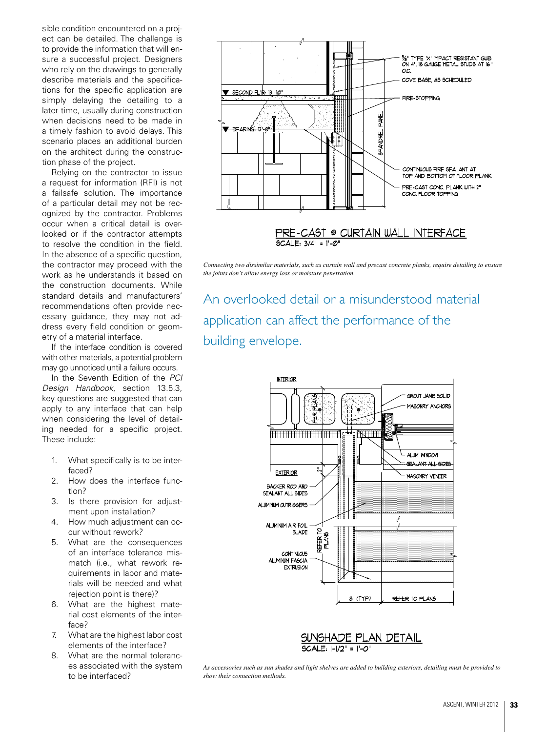sible condition encountered on a project can be detailed. The challenge is to provide the information that will ensure a successful project. Designers who rely on the drawings to generally describe materials and the specifications for the specific application are simply delaying the detailing to a later time, usually during construction when decisions need to be made in a timely fashion to avoid delays. This scenario places an additional burden on the architect during the construction phase of the project.

Relying on the contractor to issue a request for information (RFI) is not a failsafe solution. The importance of a particular detail may not be recognized by the contractor. Problems occur when a critical detail is overlooked or if the contractor attempts to resolve the condition in the field. In the absence of a specific question, the contractor may proceed with the work as he understands it based on the construction documents. While standard details and manufacturers' recommendations often provide necessary guidance, they may not address every field condition or geometry of a material interface.

If the interface condition is covered with other materials, a potential problem may go unnoticed until a failure occurs.

In the Seventh Edition of the *PCI Design Handbook*, section 13.5.3, key questions are suggested that can apply to any interface that can help when considering the level of detailing needed for a specific project. These include:

- 1. What specifically is to be interfaced?
- 2. How does the interface function?
- 3. Is there provision for adjustment upon installation?
- 4. How much adjustment can occur without rework?
- 5. What are the consequences of an interface tolerance mismatch (i.e., what rework requirements in labor and materials will be needed and what rejection point is there)?
- 6. What are the highest material cost elements of the interface?
- 7. What are the highest labor cost elements of the interface?
- 8. What are the normal tolerances associated with the system to be interfaced?



*Connecting two dissimilar materials, such as curtain wall and precast concrete planks, require detailing to ensure the joints don't allow energy loss or moisture penetration.*

An overlooked detail or a misunderstood material application can affect the performance of the building envelope.





*As accessories such as sun shades and light shelves are added to building exteriors, detailing must be provided to show their connection methods.*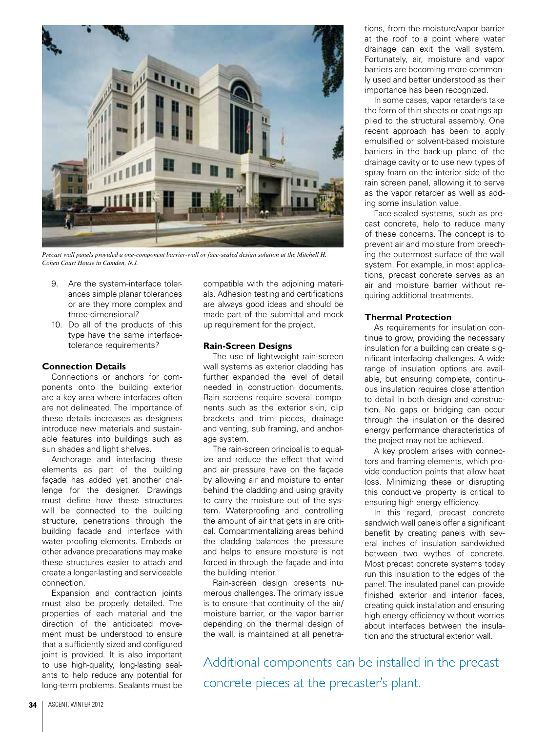

*Precast wall panels provided a one-component barrier-wall or face-sealed design solution at the Mitchell H. Cohen Court House in Camden, N.J.*

- 9. Are the system-interface tolerances simple planar tolerances or are they more complex and three-dimensional?
- 10. Do all of the products of this type have the same interfacetolerance requirements?

### **Connection Details**

Connections or anchors for components onto the building exterior are a key area where interfaces often are not delineated. The importance of these details increases as designers introduce new materials and sustainable features into buildings such as sun shades and light shelves.

Anchorage and interfacing these elements as part of the building façade has added yet another challenge for the designer. Drawings must define how these structures will be connected to the building structure, penetrations through the building facade and interface with water proofing elements. Embeds or other advance preparations may make these structures easier to attach and create a longer-lasting and serviceable connection.

Expansion and contraction joints must also be properly detailed. The properties of each material and the direction of the anticipated movement must be understood to ensure that a sufficiently sized and configured joint is provided. It is also important to use high-quality, long-lasting sealants to help reduce any potential for long-term problems. Sealants must be

compatible with the adjoining materials. Adhesion testing and certifications are always good ideas and should be made part of the submittal and mock up requirement for the project.

#### **Rain-Screen Designs**

The use of lightweight rain-screen wall systems as exterior cladding has further expanded the level of detail needed in construction documents. Rain screens require several components such as the exterior skin, clip brackets and trim pieces, drainage and venting, sub framing, and anchorage system.

The rain-screen principal is to equalize and reduce the effect that wind and air pressure have on the façade by allowing air and moisture to enter behind the cladding and using gravity to carry the moisture out of the system. Waterproofing and controlling the amount of air that gets in are critical. Compartmentalizing areas behind the cladding balances the pressure and helps to ensure moisture is not forced in through the façade and into the building interior.

Rain-screen design presents numerous challenges. The primary issue is to ensure that continuity of the air/ moisture barrier, or the vapor barrier depending on the thermal design of the wall, is maintained at all penetrations, from the moisture/vapor barrier at the roof to a point where water drainage can exit the wall system. Fortunately, air, moisture and vapor barriers are becoming more commonly used and better understood as their importance has been recognized.

In some cases, vapor retarders take the form of thin sheets or coatings applied to the structural assembly. One recent approach has been to apply emulsified or solvent-based moisture barriers in the back-up plane of the drainage cavity or to use new types of spray foam on the interior side of the rain screen panel, allowing it to serve as the vapor retarder as well as adding some insulation value.

Face-sealed systems, such as precast concrete, help to reduce many of these concerns. The concept is to prevent air and moisture from breeching the outermost surface of the wall system. For example, in most applications, precast concrete serves as an air and moisture barrier without requiring additional treatments.

#### **Thermal Protection**

As requirements for insulation continue to grow, providing the necessary insulation for a building can create significant interfacing challenges. A wide range of insulation options are available, but ensuring complete, continuous insulation requires close attention to detail in both design and construction. No gaps or bridging can occur through the insulation or the desired energy performance characteristics of the project may not be achieved.

A key problem arises with connectors and framing elements, which provide conduction points that allow heat loss. Minimizing these or disrupting this conductive property is critical to ensuring high energy efficiency.

In this regard, precast concrete sandwich wall panels offer a significant benefit by creating panels with several inches of insulation sandwiched between two wythes of concrete. Most precast concrete systems today run this insulation to the edges of the panel. The insulated panel can provide finished exterior and interior faces, creating quick installation and ensuring high energy efficiency without worries about interfaces between the insulation and the structural exterior wall.

Additional components can be installed in the precast concrete pieces at the precaster's plant.